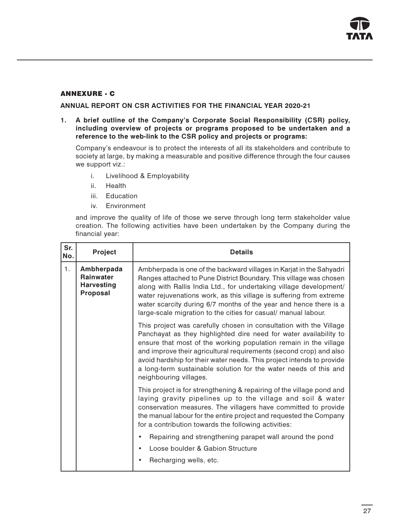

### ANNEXURE - C

ANNUAL REPORT ON CSR ACTIVITIES FOR THE FINANCIAL YEAR 2020-21

1. A brief outline of the Company's Corporate Social Responsibility (CSR) policy, including overview of projects or programs proposed to be undertaken and a reference to the web-link to the CSR policy and projects or programs:

Company's endeavour is to protect the interests of all its stakeholders and contribute to society at large, by making a measurable and positive difference through the four causes we support viz.:

- i. Livelihood & Employability
- ii. Health
- iii. Education
- iv. Environment

and improve the quality of life of those we serve through long term stakeholder value creation. The following activities have been undertaken by the Company during the financial year:

| Sr.<br>No. | <b>Project</b>                                                  | <b>Details</b>                                                                                                                                                                                                                                                                                                                                                                                                                                           |
|------------|-----------------------------------------------------------------|----------------------------------------------------------------------------------------------------------------------------------------------------------------------------------------------------------------------------------------------------------------------------------------------------------------------------------------------------------------------------------------------------------------------------------------------------------|
| 1.         | Ambherpada<br><b>Rainwater</b><br><b>Harvesting</b><br>Proposal | Ambherpada is one of the backward villages in Karjat in the Sahyadri<br>Ranges attached to Pune District Boundary. This village was chosen<br>along with Rallis India Ltd., for undertaking village development/<br>water rejuvenations work, as this village is suffering from extreme<br>water scarcity during 6/7 months of the year and hence there is a<br>large-scale migration to the cities for casual/ manual labour.                           |
|            |                                                                 | This project was carefully chosen in consultation with the Village<br>Panchayat as they highlighted dire need for water availability to<br>ensure that most of the working population remain in the village<br>and improve their agricultural requirements (second crop) and also<br>avoid hardship for their water needs. This project intends to provide<br>a long-term sustainable solution for the water needs of this and<br>neighbouring villages. |
|            |                                                                 | This project is for strengthening & repairing of the village pond and<br>laying gravity pipelines up to the village and soil & water<br>conservation measures. The villagers have committed to provide<br>the manual labour for the entire project and requested the Company<br>for a contribution towards the following activities:                                                                                                                     |
|            |                                                                 | Repairing and strengthening parapet wall around the pond                                                                                                                                                                                                                                                                                                                                                                                                 |
|            |                                                                 | Loose boulder & Gabion Structure                                                                                                                                                                                                                                                                                                                                                                                                                         |
|            |                                                                 | Recharging wells, etc.                                                                                                                                                                                                                                                                                                                                                                                                                                   |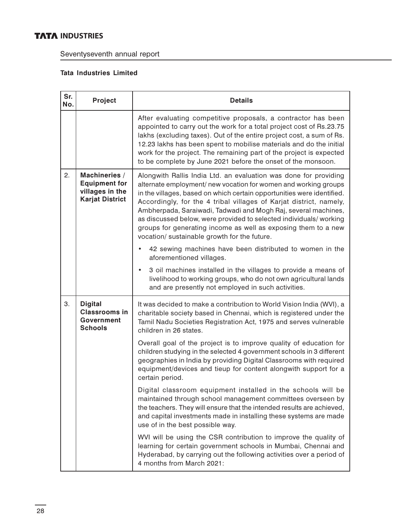# **TATA INDUSTRIES**

Seventyseventh annual report

## Tata Industries Limited

| Sr.<br>No. | Project                                                                            | <b>Details</b>                                                                                                                                                                                                                                                                                                                                                                                                                                                                                                                                |  |  |  |  |  |  |  |
|------------|------------------------------------------------------------------------------------|-----------------------------------------------------------------------------------------------------------------------------------------------------------------------------------------------------------------------------------------------------------------------------------------------------------------------------------------------------------------------------------------------------------------------------------------------------------------------------------------------------------------------------------------------|--|--|--|--|--|--|--|
|            |                                                                                    | After evaluating competitive proposals, a contractor has been<br>appointed to carry out the work for a total project cost of Rs.23.75<br>lakhs (excluding taxes). Out of the entire project cost, a sum of Rs.<br>12.23 lakhs has been spent to mobilise materials and do the initial<br>work for the project. The remaining part of the project is expected<br>to be complete by June 2021 before the onset of the monsoon.                                                                                                                  |  |  |  |  |  |  |  |
| 2.         | Machineries /<br><b>Equipment for</b><br>villages in the<br><b>Karjat District</b> | Alongwith Rallis India Ltd. an evaluation was done for providing<br>alternate employment/ new vocation for women and working groups<br>in the villages, based on which certain opportunities were identified.<br>Accordingly, for the 4 tribal villages of Karjat district, namely,<br>Ambherpada, Saraiwadi, Tadwadi and Mogh Raj, several machines,<br>as discussed below, were provided to selected individuals/ working<br>groups for generating income as well as exposing them to a new<br>vocation/ sustainable growth for the future. |  |  |  |  |  |  |  |
|            |                                                                                    | 42 sewing machines have been distributed to women in the<br>aforementioned villages.                                                                                                                                                                                                                                                                                                                                                                                                                                                          |  |  |  |  |  |  |  |
|            |                                                                                    | 3 oil machines installed in the villages to provide a means of<br>$\bullet$<br>livelihood to working groups, who do not own agricultural lands<br>and are presently not employed in such activities.                                                                                                                                                                                                                                                                                                                                          |  |  |  |  |  |  |  |
| 3.         | <b>Digital</b><br><b>Classrooms in</b><br>Government<br><b>Schools</b>             | It was decided to make a contribution to World Vision India (WVI), a<br>charitable society based in Chennai, which is registered under the<br>Tamil Nadu Societies Registration Act, 1975 and serves vulnerable<br>children in 26 states.                                                                                                                                                                                                                                                                                                     |  |  |  |  |  |  |  |
|            |                                                                                    | Overall goal of the project is to improve quality of education for<br>children studying in the selected 4 government schools in 3 different<br>geographies in India by providing Digital Classrooms with required<br>equipment/devices and tieup for content alongwith support for a<br>certain period.                                                                                                                                                                                                                                       |  |  |  |  |  |  |  |
|            |                                                                                    | Digital classroom equipment installed in the schools will be<br>maintained through school management committees overseen by<br>the teachers. They will ensure that the intended results are achieved,<br>and capital investments made in installing these systems are made<br>use of in the best possible way.                                                                                                                                                                                                                                |  |  |  |  |  |  |  |
|            |                                                                                    | WVI will be using the CSR contribution to improve the quality of<br>learning for certain government schools in Mumbai, Chennai and<br>Hyderabad, by carrying out the following activities over a period of<br>4 months from March 2021:                                                                                                                                                                                                                                                                                                       |  |  |  |  |  |  |  |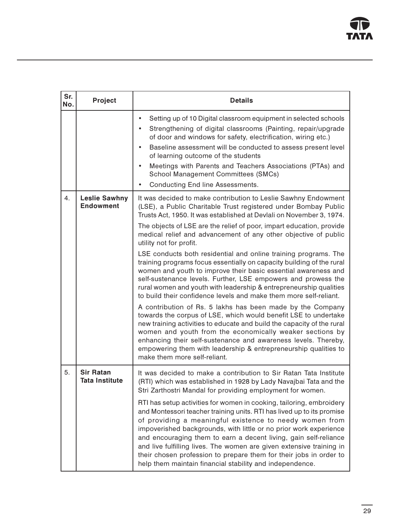| Sr.<br>No. | Project                                   | <b>Details</b>                                                                                                                                                                                                                                                                                                                                                                                                                                                                                                                                                                                                                                                                                                                                                                                                                                                                                                                                                                                                                                                                                                                                                                                                                                        |
|------------|-------------------------------------------|-------------------------------------------------------------------------------------------------------------------------------------------------------------------------------------------------------------------------------------------------------------------------------------------------------------------------------------------------------------------------------------------------------------------------------------------------------------------------------------------------------------------------------------------------------------------------------------------------------------------------------------------------------------------------------------------------------------------------------------------------------------------------------------------------------------------------------------------------------------------------------------------------------------------------------------------------------------------------------------------------------------------------------------------------------------------------------------------------------------------------------------------------------------------------------------------------------------------------------------------------------|
|            |                                           | Setting up of 10 Digital classroom equipment in selected schools<br>Strengthening of digital classrooms (Painting, repair/upgrade<br>of door and windows for safety, electrification, wiring etc.)<br>Baseline assessment will be conducted to assess present level<br>$\bullet$<br>of learning outcome of the students<br>Meetings with Parents and Teachers Associations (PTAs) and<br>School Management Committees (SMCs)<br>Conducting End line Assessments.                                                                                                                                                                                                                                                                                                                                                                                                                                                                                                                                                                                                                                                                                                                                                                                      |
| 4.         | <b>Leslie Sawhny</b><br><b>Endowment</b>  | It was decided to make contribution to Leslie Sawhny Endowment<br>(LSE), a Public Charitable Trust registered under Bombay Public<br>Trusts Act, 1950. It was established at Devlali on November 3, 1974.<br>The objects of LSE are the relief of poor, impart education, provide<br>medical relief and advancement of any other objective of public<br>utility not for profit.<br>LSE conducts both residential and online training programs. The<br>training programs focus essentially on capacity building of the rural<br>women and youth to improve their basic essential awareness and<br>self-sustenance levels. Further, LSE empowers and prowess the<br>rural women and youth with leadership & entrepreneurship qualities<br>to build their confidence levels and make them more self-reliant.<br>A contribution of Rs. 5 lakhs has been made by the Company<br>towards the corpus of LSE, which would benefit LSE to undertake<br>new training activities to educate and build the capacity of the rural<br>women and youth from the economically weaker sections by<br>enhancing their self-sustenance and awareness levels. Thereby,<br>empowering them with leadership & entrepreneurship qualities to<br>make them more self-reliant. |
| 5.         | <b>Sir Ratan</b><br><b>Tata Institute</b> | It was decided to make a contribution to Sir Ratan Tata Institute<br>(RTI) which was established in 1928 by Lady Navajbai Tata and the<br>Stri Zarthostri Mandal for providing employment for women.<br>RTI has setup activities for women in cooking, tailoring, embroidery<br>and Montessori teacher training units. RTI has lived up to its promise<br>of providing a meaningful existence to needy women from<br>impoverished backgrounds, with little or no prior work experience<br>and encouraging them to earn a decent living, gain self-reliance<br>and live fulfilling lives. The women are given extensive training in<br>their chosen profession to prepare them for their jobs in order to<br>help them maintain financial stability and independence.                                                                                                                                                                                                                                                                                                                                                                                                                                                                                  |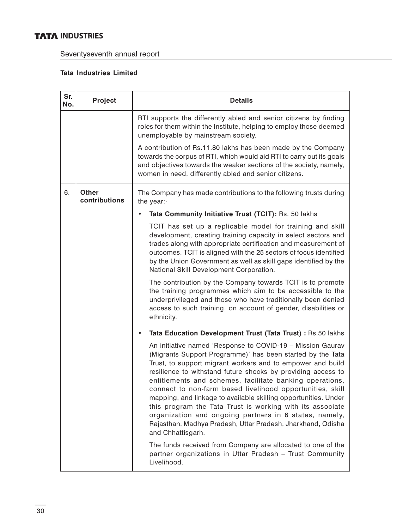# **INDUSTRIES**

Seventyseventh annual report

## Tata Industries Limited

| Sr.<br>No. | Project                       | <b>Details</b>                                                                                                                                                                                                                                                                                                                                                                                                                                                                                                                                                                                                                                                |  |  |  |  |  |  |
|------------|-------------------------------|---------------------------------------------------------------------------------------------------------------------------------------------------------------------------------------------------------------------------------------------------------------------------------------------------------------------------------------------------------------------------------------------------------------------------------------------------------------------------------------------------------------------------------------------------------------------------------------------------------------------------------------------------------------|--|--|--|--|--|--|
|            |                               | RTI supports the differently abled and senior citizens by finding<br>roles for them within the Institute, helping to employ those deemed<br>unemployable by mainstream society.                                                                                                                                                                                                                                                                                                                                                                                                                                                                               |  |  |  |  |  |  |
|            |                               | A contribution of Rs.11.80 lakhs has been made by the Company<br>towards the corpus of RTI, which would aid RTI to carry out its goals<br>and objectives towards the weaker sections of the society, namely,<br>women in need, differently abled and senior citizens.                                                                                                                                                                                                                                                                                                                                                                                         |  |  |  |  |  |  |
| 6.         | <b>Other</b><br>contributions | The Company has made contributions to the following trusts during<br>the year:                                                                                                                                                                                                                                                                                                                                                                                                                                                                                                                                                                                |  |  |  |  |  |  |
|            |                               | Tata Community Initiative Trust (TCIT): Rs. 50 lakhs                                                                                                                                                                                                                                                                                                                                                                                                                                                                                                                                                                                                          |  |  |  |  |  |  |
|            |                               | TCIT has set up a replicable model for training and skill<br>development, creating training capacity in select sectors and<br>trades along with appropriate certification and measurement of<br>outcomes. TCIT is aligned with the 25 sectors of focus identified<br>by the Union Government as well as skill gaps identified by the<br>National Skill Development Corporation.                                                                                                                                                                                                                                                                               |  |  |  |  |  |  |
|            |                               | The contribution by the Company towards TCIT is to promote<br>the training programmes which aim to be accessible to the<br>underprivileged and those who have traditionally been denied<br>access to such training, on account of gender, disabilities or<br>ethnicity.                                                                                                                                                                                                                                                                                                                                                                                       |  |  |  |  |  |  |
|            |                               | Tata Education Development Trust (Tata Trust) : Rs.50 lakhs<br>٠                                                                                                                                                                                                                                                                                                                                                                                                                                                                                                                                                                                              |  |  |  |  |  |  |
|            |                               | An initiative named 'Response to COVID-19 - Mission Gaurav<br>(Migrants Support Programme)' has been started by the Tata<br>Trust, to support migrant workers and to empower and build<br>resilience to withstand future shocks by providing access to<br>entitlements and schemes, facilitate banking operations,<br>connect to non-farm based livelihood opportunities, skill<br>mapping, and linkage to available skilling opportunities. Under<br>this program the Tata Trust is working with its associate<br>organization and ongoing partners in 6 states, namely,<br>Rajasthan, Madhya Pradesh, Uttar Pradesh, Jharkhand, Odisha<br>and Chhattisgarh. |  |  |  |  |  |  |
|            |                               | The funds received from Company are allocated to one of the<br>partner organizations in Uttar Pradesh - Trust Community<br>Livelihood.                                                                                                                                                                                                                                                                                                                                                                                                                                                                                                                        |  |  |  |  |  |  |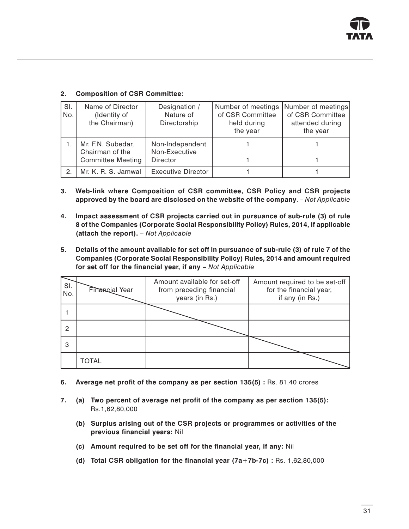| SI.<br>No. | Name of Director<br>(Identity of<br>the Chairman)                | Designation /<br>Nature of<br>Directorship   | Number of meetings<br>of CSR Committee<br>held during<br>the year | Number of meetings<br>of CSR Committee<br>attended during<br>the year |
|------------|------------------------------------------------------------------|----------------------------------------------|-------------------------------------------------------------------|-----------------------------------------------------------------------|
|            | Mr. F.N. Subedar,<br>Chairman of the<br><b>Committee Meeting</b> | Non-Independent<br>Non-Executive<br>Director |                                                                   |                                                                       |
| 2.         | Mr. K. R. S. Jamwal                                              | <b>Executive Director</b>                    |                                                                   |                                                                       |

### 2. Composition of CSR Committee:

- 3. Web-link where Composition of CSR committee, CSR Policy and CSR projects approved by the board are disclosed on the website of the company. – Not Applicable
- 4. Impact assessment of CSR projects carried out in pursuance of sub-rule (3) of rule 8 of the Companies (Corporate Social Responsibility Policy) Rules, 2014, if applicable (attach the report). – Not Applicable
- 5. Details of the amount available for set off in pursuance of sub-rule (3) of rule 7 of the Companies (Corporate Social Responsibility Policy) Rules, 2014 and amount required for set off for the financial year, if any – Not Applicable

| SI.<br>No. | Financial Year | Amount available for set-off<br>from preceding financial<br>years (in Rs.) | Amount required to be set-off<br>for the financial year,<br>if any (in Rs.) |
|------------|----------------|----------------------------------------------------------------------------|-----------------------------------------------------------------------------|
|            |                |                                                                            |                                                                             |
| 2          |                |                                                                            |                                                                             |
| 3          |                |                                                                            |                                                                             |
|            | <b>TOTAL</b>   |                                                                            |                                                                             |

- 6. Average net profit of the company as per section 135(5) : Rs. 81.40 crores
- 7. (a) Two percent of average net profit of the company as per section 135(5): Rs.1,62,80,000
	- (b) Surplus arising out of the CSR projects or programmes or activities of the previous financial years: Nil
	- (c) Amount required to be set off for the financial year, if any: Nil
	- (d) Total CSR obligation for the financial year (7a+7b-7c) : Rs. 1,62,80,000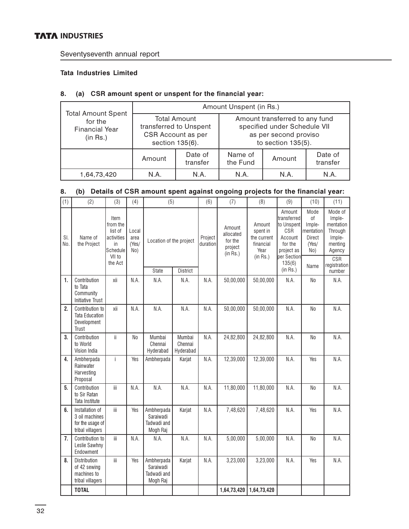## **TATA INDUSTRIES**

Seventyseventh annual report

### Tata Industries Limited

### 8. (a) CSR amount spent or unspent for the financial year:

|                                                                           | Amount Unspent (in Rs.)       |                                                                                        |                                                                                                                  |        |                     |  |  |
|---------------------------------------------------------------------------|-------------------------------|----------------------------------------------------------------------------------------|------------------------------------------------------------------------------------------------------------------|--------|---------------------|--|--|
| <b>Total Amount Spent</b><br>for the<br><b>Financial Year</b><br>(in Rs.) |                               | <b>Total Amount</b><br>transferred to Unspent<br>CSR Account as per<br>section 135(6). | Amount transferred to any fund<br>specified under Schedule VII<br>as per second proviso<br>to section $135(5)$ . |        |                     |  |  |
|                                                                           | Date of<br>Amount<br>transfer |                                                                                        | Name of<br>the Fund                                                                                              | Amount | Date of<br>transfer |  |  |
| 1,64,73,420                                                               | N.A.                          | N.A.                                                                                   | N.A.                                                                                                             | N.A.   | N.A.                |  |  |

## 8. (b) Details of CSR amount spent against ongoing projects for the financial year:

| (1)        | (2)                                                                       | (3)                                                                                                                                          | (4)            | (5)                                                |                                                       | (6)                                                                | (7)                                                                                                     | (8)                                                         | (9)                                                                                             | (10)           | (11)   |
|------------|---------------------------------------------------------------------------|----------------------------------------------------------------------------------------------------------------------------------------------|----------------|----------------------------------------------------|-------------------------------------------------------|--------------------------------------------------------------------|---------------------------------------------------------------------------------------------------------|-------------------------------------------------------------|-------------------------------------------------------------------------------------------------|----------------|--------|
| SI.<br>No. | Name of<br>the Project                                                    | Item<br>from the<br>list of<br>Local<br>activities<br>area<br>Location of the project<br>(Yes/<br>in<br>Schedule<br>No)<br>VII to<br>the Act |                | Project<br>duration                                | Amount<br>allocated<br>for the<br>project<br>(in Rs.) | Amount<br>spent in<br>the current<br>financial<br>Year<br>(in Rs.) | Amount<br>transferred<br>to Unspent<br>CSR<br>Account<br>for the<br>project as<br>per Section<br>135(6) | Mode<br>οf<br>Imple-<br>mentation<br>Direct<br>(Yes/<br>No) | Mode of<br>Imple-<br>mentation<br>Through<br>Imple-<br>menting<br>Agency<br>CSR<br>registration |                |        |
|            |                                                                           |                                                                                                                                              |                | State                                              | District                                              |                                                                    |                                                                                                         |                                                             | (in Rs.)                                                                                        | Name           | number |
| 1.         | Contribution<br>to Tata<br>Community<br><b>Initiative Trust</b>           | xii                                                                                                                                          | N.A.           | N.A.                                               | N.A.                                                  | N.A.                                                               | 50,00,000                                                                                               | 50,00,000                                                   | N.A.                                                                                            | N <sub>0</sub> | N.A.   |
| 2.         | Contribution to<br><b>Tata Education</b><br>Development<br>Trust          | xii                                                                                                                                          | N.A.           | N.A.                                               | N.A.                                                  | N.A.                                                               | 50,00,000                                                                                               | 50,00,000                                                   | N.A.                                                                                            | No             | N.A.   |
| 3.         | Contribution<br>to World<br>Vision India                                  | ii.                                                                                                                                          | N <sub>0</sub> | Mumbai<br>Chennai<br>Hyderabad                     | Mumbai<br>Chennai<br>Hyderabad                        | N.A.                                                               | 24,82,800                                                                                               | 24,82,800                                                   | N.A.                                                                                            | N <sub>o</sub> | N.A.   |
| 4.         | Ambherpada<br>Rainwater<br>Harvesting<br>Proposal                         | i.                                                                                                                                           | Yes            | Ambherpada                                         | Karjat                                                | N.A.                                                               | 12,39,000                                                                                               | 12,39,000                                                   | N.A.                                                                                            | Yes            | N.A.   |
| 5.         | Contribution<br>to Sir Ratan<br>Tata Institute                            | ііі                                                                                                                                          | N.A.           | N.A.                                               | N.A.                                                  | N.A.                                                               | 11,80,000                                                                                               | 11,80,000                                                   | N.A.                                                                                            | No             | N.A.   |
| 6.         | Installation of<br>3 oil machines<br>for the usage of<br>tribal villagers | iii                                                                                                                                          | Yes            | Ambherpada<br>Saraiwadi<br>Tadwadi and<br>Mogh Raj | Karjat                                                | N.A.                                                               | 7,48,620                                                                                                | 7,48,620                                                    | N.A.                                                                                            | Yes            | N.A.   |
| 7.         | Contribution to<br>Leslie Sawhny<br>Endowment                             | Ϊİ                                                                                                                                           | N.A.           | N.A.                                               | N.A.                                                  | N.A.                                                               | 5,00,000                                                                                                | 5,00,000                                                    | N.A.                                                                                            | No             | N.A.   |
| 8.         | <b>Distribution</b><br>of 42 sewing<br>machines to<br>tribal villagers    | iіі                                                                                                                                          | Yes            | Ambherpada<br>Saraiwadi<br>Tadwadi and<br>Mogh Raj | Karjat                                                | N.A.                                                               | 3,23,000                                                                                                | 3,23,000                                                    | N.A.                                                                                            | Yes            | N.A.   |
|            | <b>TOTAL</b>                                                              |                                                                                                                                              |                |                                                    |                                                       |                                                                    | 1,64,73,420                                                                                             | 1,64,73,420                                                 |                                                                                                 |                |        |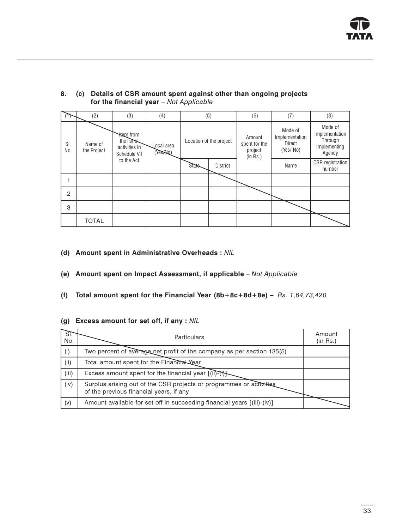

| Т,             | (2)                    | (3)                                                             | (4)                    |        | (5)                     |                                                | (7)                                             | (8)                                                            |
|----------------|------------------------|-----------------------------------------------------------------|------------------------|--------|-------------------------|------------------------------------------------|-------------------------------------------------|----------------------------------------------------------------|
| SI.<br>No.     | Name of<br>the Project | <b>Hem</b> from<br>the list of<br>activities in<br>Schedule VII | ocal area<br>(Yes ALO) |        | Location of the project | Amount<br>spent for the<br>project<br>(in Rs.) | Mode of<br>Implementation<br>Direct<br>(Yes/No) | Mode of<br>Implementation<br>Through<br>Implementing<br>Agency |
|                |                        | to the Act                                                      |                        | State- | <b>District</b>         |                                                | Name                                            | CSR registration<br>number                                     |
|                |                        |                                                                 |                        |        |                         |                                                |                                                 |                                                                |
| $\overline{2}$ |                        |                                                                 |                        |        |                         |                                                |                                                 |                                                                |
| 3              |                        |                                                                 |                        |        |                         |                                                |                                                 |                                                                |
|                | <b>TOTAL</b>           |                                                                 |                        |        |                         |                                                |                                                 |                                                                |

#### 8. (c) Details of CSR amount spent against other than ongoing projects for the financial year – Not Applicable

- (d) Amount spent in Administrative Overheads : NIL
- (e) Amount spent on Impact Assessment, if applicable Not Applicable
- (f) Total amount spent for the Financial Year  $(8b+8c+8d+8e)$  Rs. 1,64,73,420

#### (g) Excess amount for set off, if any : NIL

| <u>डा.</u><br>No. | <b>Particulars</b>                                                                                             | Amount<br>(in Rs.) |
|-------------------|----------------------------------------------------------------------------------------------------------------|--------------------|
| (i)               | Two percent of average net profit of the company as per section 135(5)                                         |                    |
| (ii)              | Total amount spent for the Financial Year                                                                      |                    |
| (iii)             | Excess amount spent for the financial year [(ii)-(i)]-                                                         |                    |
| (iv)              | Surplus arising out of the CSR projects or programmes or activities<br>of the previous financial years, if any |                    |
| (v)               | Amount available for set off in succeeding financial years [(iii)-(iv)]                                        |                    |